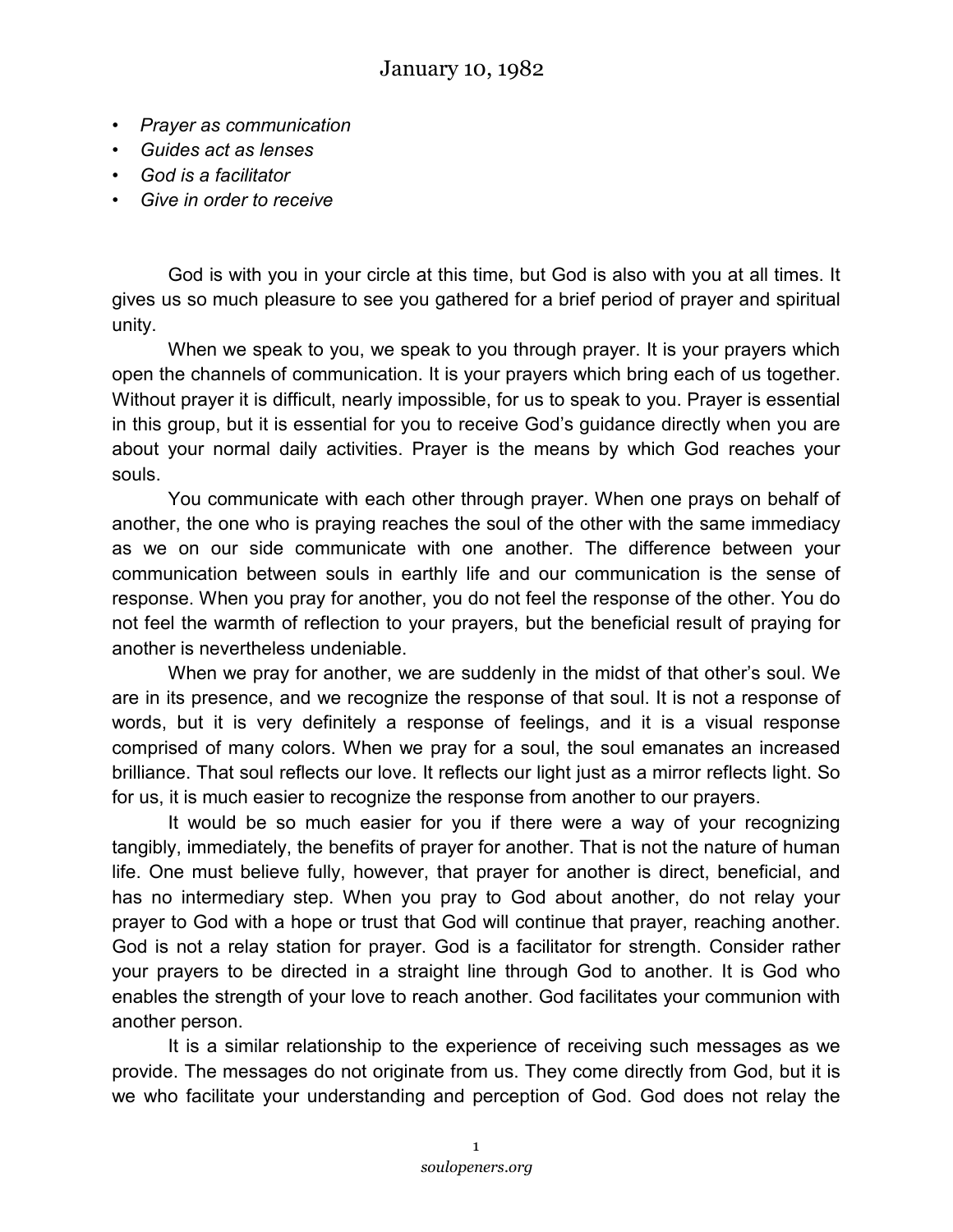- *Prayer as communication*
- *Guides act as lenses*
- *God is a facilitator*
- *Give in order to receive*

God is with you in your circle at this time, but God is also with you at all times. It gives us so much pleasure to see you gathered for a brief period of prayer and spiritual unity.

When we speak to you, we speak to you through prayer. It is your prayers which open the channels of communication. It is your prayers which bring each of us together. Without prayer it is difficult, nearly impossible, for us to speak to you. Prayer is essential in this group, but it is essential for you to receive God's guidance directly when you are about your normal daily activities. Prayer is the means by which God reaches your souls.

You communicate with each other through prayer. When one prays on behalf of another, the one who is praying reaches the soul of the other with the same immediacy as we on our side communicate with one another. The difference between your communication between souls in earthly life and our communication is the sense of response. When you pray for another, you do not feel the response of the other. You do not feel the warmth of reflection to your prayers, but the beneficial result of praying for another is nevertheless undeniable.

When we pray for another, we are suddenly in the midst of that other's soul. We are in its presence, and we recognize the response of that soul. It is not a response of words, but it is very definitely a response of feelings, and it is a visual response comprised of many colors. When we pray for a soul, the soul emanates an increased brilliance. That soul reflects our love. It reflects our light just as a mirror reflects light. So for us, it is much easier to recognize the response from another to our prayers.

It would be so much easier for you if there were a way of your recognizing tangibly, immediately, the benefits of prayer for another. That is not the nature of human life. One must believe fully, however, that prayer for another is direct, beneficial, and has no intermediary step. When you pray to God about another, do not relay your prayer to God with a hope or trust that God will continue that prayer, reaching another. God is not a relay station for prayer. God is a facilitator for strength. Consider rather your prayers to be directed in a straight line through God to another. It is God who enables the strength of your love to reach another. God facilitates your communion with another person.

It is a similar relationship to the experience of receiving such messages as we provide. The messages do not originate from us. They come directly from God, but it is we who facilitate your understanding and perception of God. God does not relay the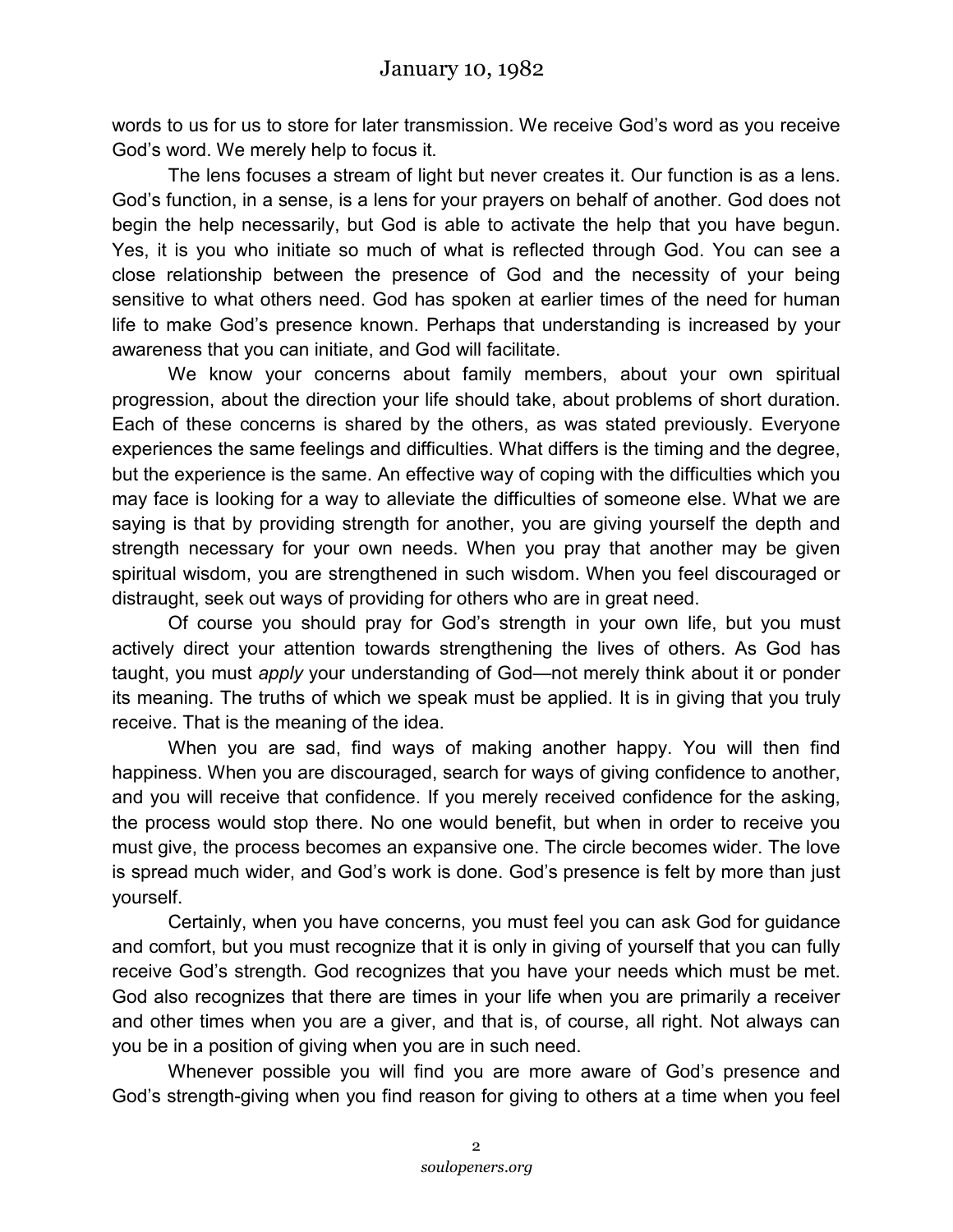words to us for us to store for later transmission. We receive God's word as you receive God's word. We merely help to focus it.

The lens focuses a stream of light but never creates it. Our function is as a lens. God's function, in a sense, is a lens for your prayers on behalf of another. God does not begin the help necessarily, but God is able to activate the help that you have begun. Yes, it is you who initiate so much of what is reflected through God. You can see a close relationship between the presence of God and the necessity of your being sensitive to what others need. God has spoken at earlier times of the need for human life to make God's presence known. Perhaps that understanding is increased by your awareness that you can initiate, and God will facilitate.

We know your concerns about family members, about your own spiritual progression, about the direction your life should take, about problems of short duration. Each of these concerns is shared by the others, as was stated previously. Everyone experiences the same feelings and difficulties. What differs is the timing and the degree, but the experience is the same. An effective way of coping with the difficulties which you may face is looking for a way to alleviate the difficulties of someone else. What we are saying is that by providing strength for another, you are giving yourself the depth and strength necessary for your own needs. When you pray that another may be given spiritual wisdom, you are strengthened in such wisdom. When you feel discouraged or distraught, seek out ways of providing for others who are in great need.

Of course you should pray for God's strength in your own life, but you must actively direct your attention towards strengthening the lives of others. As God has taught, you must *apply* your understanding of God—not merely think about it or ponder its meaning. The truths of which we speak must be applied. It is in giving that you truly receive. That is the meaning of the idea.

When you are sad, find ways of making another happy. You will then find happiness. When you are discouraged, search for ways of giving confidence to another, and you will receive that confidence. If you merely received confidence for the asking, the process would stop there. No one would benefit, but when in order to receive you must give, the process becomes an expansive one. The circle becomes wider. The love is spread much wider, and God's work is done. God's presence is felt by more than just yourself.

Certainly, when you have concerns, you must feel you can ask God for guidance and comfort, but you must recognize that it is only in giving of yourself that you can fully receive God's strength. God recognizes that you have your needs which must be met. God also recognizes that there are times in your life when you are primarily a receiver and other times when you are a giver, and that is, of course, all right. Not always can you be in a position of giving when you are in such need.

Whenever possible you will find you are more aware of God's presence and God's strength-giving when you find reason for giving to others at a time when you feel